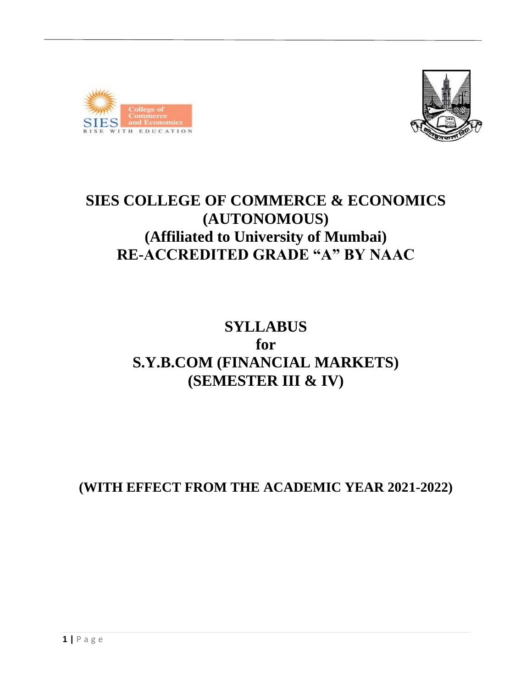



# **SIES COLLEGE OF COMMERCE & ECONOMICS (AUTONOMOUS) (Affiliated to University of Mumbai) RE-ACCREDITED GRADE "A" BY NAAC**

# **SYLLABUS for S.Y.B.COM (FINANCIAL MARKETS) (SEMESTER III & IV)**

**(WITH EFFECT FROM THE ACADEMIC YEAR 2021-2022)**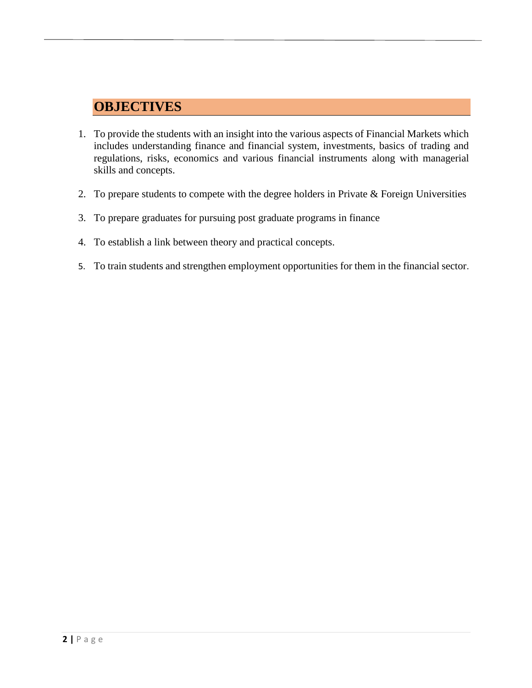# **OBJECTIVES**

- 1. To provide the students with an insight into the various aspects of Financial Markets which includes understanding finance and financial system, investments, basics of trading and regulations, risks, economics and various financial instruments along with managerial skills and concepts.
- 2. To prepare students to compete with the degree holders in Private & Foreign Universities
- 3. To prepare graduates for pursuing post graduate programs in finance
- 4. To establish a link between theory and practical concepts.
- 5. To train students and strengthen employment opportunities for them in the financial sector.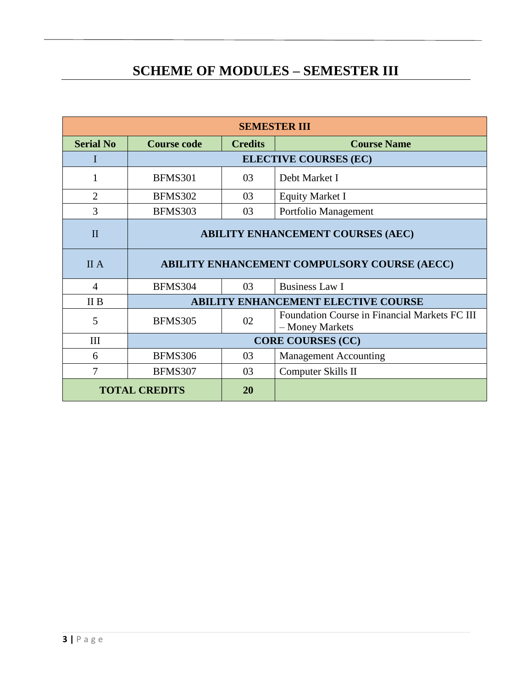# **SCHEME OF MODULES – SEMESTER III**

| <b>SEMESTER III</b>        |                                                     |                              |                                                                  |  |
|----------------------------|-----------------------------------------------------|------------------------------|------------------------------------------------------------------|--|
| <b>Serial No</b>           | <b>Course code</b>                                  | <b>Credits</b>               | <b>Course Name</b>                                               |  |
|                            |                                                     | <b>ELECTIVE COURSES (EC)</b> |                                                                  |  |
| 1                          | <b>BFMS301</b>                                      | 03                           | Debt Market I                                                    |  |
| $\overline{2}$             | <b>BFMS302</b>                                      | 03                           | <b>Equity Market I</b>                                           |  |
| 3                          | BFMS303                                             | 03                           | Portfolio Management                                             |  |
| $\mathbf{I}$               | <b>ABILITY ENHANCEMENT COURSES (AEC)</b>            |                              |                                                                  |  |
| <b>II</b> A                | <b>ABILITY ENHANCEMENT COMPULSORY COURSE (AECC)</b> |                              |                                                                  |  |
| 4                          | BFMS304                                             | 03                           | <b>Business Law I</b>                                            |  |
| II B                       | <b>ABILITY ENHANCEMENT ELECTIVE COURSE</b>          |                              |                                                                  |  |
| 5                          | <b>BFMS305</b>                                      | 02                           | Foundation Course in Financial Markets FC III<br>- Money Markets |  |
| III                        | <b>CORE COURSES (CC)</b>                            |                              |                                                                  |  |
| 6                          | <b>BFMS306</b>                                      | 03                           | <b>Management Accounting</b>                                     |  |
| 7                          | <b>BFMS307</b>                                      | 03                           | Computer Skills II                                               |  |
| <b>TOTAL CREDITS</b><br>20 |                                                     |                              |                                                                  |  |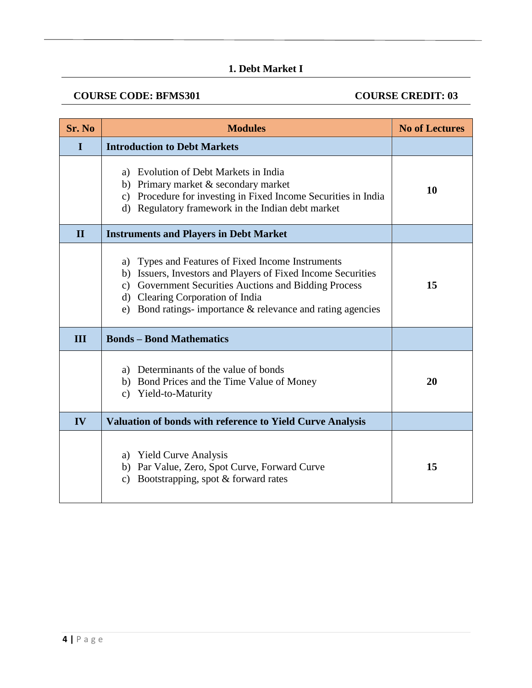## **1. Debt Market I**

### **COURSE CODE: BFMS301 COURSE CREDIT: 03**

| Sr. No       | <b>Modules</b>                                                                                                                                                                                                                                                                            | <b>No of Lectures</b> |
|--------------|-------------------------------------------------------------------------------------------------------------------------------------------------------------------------------------------------------------------------------------------------------------------------------------------|-----------------------|
| I            | <b>Introduction to Debt Markets</b>                                                                                                                                                                                                                                                       |                       |
|              | a) Evolution of Debt Markets in India<br>b) Primary market & secondary market<br>Procedure for investing in Fixed Income Securities in India<br>c)<br>d) Regulatory framework in the Indian debt market                                                                                   | 10                    |
| $\mathbf{H}$ | <b>Instruments and Players in Debt Market</b>                                                                                                                                                                                                                                             |                       |
|              | Types and Features of Fixed Income Instruments<br>a)<br>Issuers, Investors and Players of Fixed Income Securities<br>b)<br>c) Government Securities Auctions and Bidding Process<br>d) Clearing Corporation of India<br>Bond ratings- importance $\&$ relevance and rating agencies<br>e) | 15                    |
| Ш            | <b>Bonds - Bond Mathematics</b>                                                                                                                                                                                                                                                           |                       |
|              | a) Determinants of the value of bonds<br>b) Bond Prices and the Time Value of Money<br>Yield-to-Maturity<br>c)                                                                                                                                                                            | 20                    |
| IV           | <b>Valuation of bonds with reference to Yield Curve Analysis</b>                                                                                                                                                                                                                          |                       |
|              | a) Yield Curve Analysis<br>b) Par Value, Zero, Spot Curve, Forward Curve<br>Bootstrapping, spot $&$ forward rates<br>$\mathbf{c}$                                                                                                                                                         | 15                    |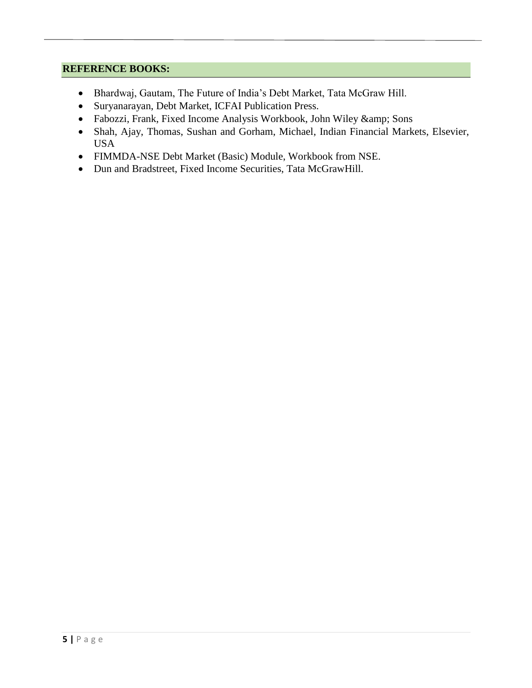- Bhardwaj, Gautam, The Future of India's Debt Market, Tata McGraw Hill.
- Suryanarayan, Debt Market, ICFAI Publication Press.
- Fabozzi, Frank, Fixed Income Analysis Workbook, John Wiley & amp; Sons
- Shah, Ajay, Thomas, Sushan and Gorham, Michael, Indian Financial Markets, Elsevier, USA
- FIMMDA-NSE Debt Market (Basic) Module, Workbook from NSE.
- Dun and Bradstreet, Fixed Income Securities, Tata McGrawHill.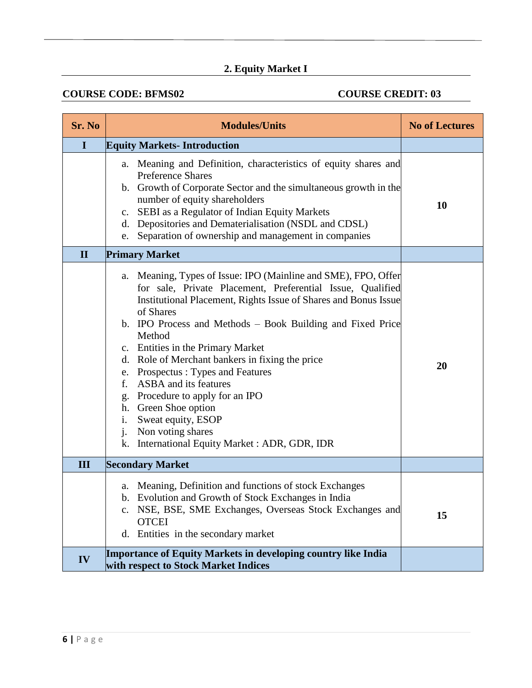# **2. Equity Market I**

## **COURSE CODE: BFMS02 COURSE CREDIT: 03**

| Sr. No       | <b>Modules/Units</b>                                                                                                                                                                                                                                                                                                                                                                                                                                                                                                                                                                                                       | <b>No of Lectures</b> |
|--------------|----------------------------------------------------------------------------------------------------------------------------------------------------------------------------------------------------------------------------------------------------------------------------------------------------------------------------------------------------------------------------------------------------------------------------------------------------------------------------------------------------------------------------------------------------------------------------------------------------------------------------|-----------------------|
| $\mathbf I$  | <b>Equity Markets-Introduction</b>                                                                                                                                                                                                                                                                                                                                                                                                                                                                                                                                                                                         |                       |
|              | a. Meaning and Definition, characteristics of equity shares and<br><b>Preference Shares</b><br>b. Growth of Corporate Sector and the simultaneous growth in the<br>number of equity shareholders<br>c. SEBI as a Regulator of Indian Equity Markets<br>d. Depositories and Dematerialisation (NSDL and CDSL)<br>Separation of ownership and management in companies<br>e.                                                                                                                                                                                                                                                  | 10                    |
| $\mathbf{I}$ | <b>Primary Market</b>                                                                                                                                                                                                                                                                                                                                                                                                                                                                                                                                                                                                      |                       |
|              | Meaning, Types of Issue: IPO (Mainline and SME), FPO, Offer<br>a.<br>for sale, Private Placement, Preferential Issue, Qualified<br>Institutional Placement, Rights Issue of Shares and Bonus Issue<br>of Shares<br>b. IPO Process and Methods – Book Building and Fixed Price<br>Method<br>c. Entities in the Primary Market<br>d. Role of Merchant bankers in fixing the price<br>e. Prospectus: Types and Features<br>ASBA and its features<br>f.<br>Procedure to apply for an IPO<br>g.<br>h. Green Shoe option<br>Sweat equity, ESOP<br>i.<br>j.<br>Non voting shares<br>k. International Equity Market: ADR, GDR, IDR | 20                    |
| III          | <b>Secondary Market</b>                                                                                                                                                                                                                                                                                                                                                                                                                                                                                                                                                                                                    |                       |
|              | a. Meaning, Definition and functions of stock Exchanges<br>b. Evolution and Growth of Stock Exchanges in India<br>NSE, BSE, SME Exchanges, Overseas Stock Exchanges and<br>$\mathbf{c}$ .<br><b>OTCEI</b><br>d. Entities in the secondary market                                                                                                                                                                                                                                                                                                                                                                           | 15                    |
| IV           | Importance of Equity Markets in developing country like India<br>with respect to Stock Market Indices                                                                                                                                                                                                                                                                                                                                                                                                                                                                                                                      |                       |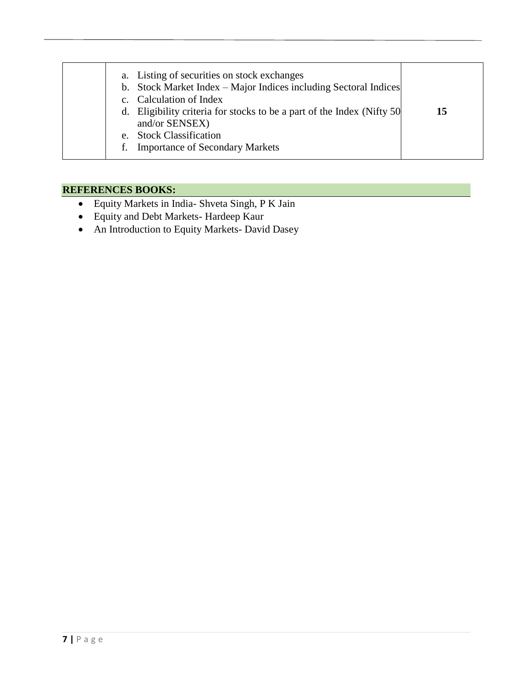| a. Listing of securities on stock exchanges<br>b. Stock Market Index – Major Indices including Sectoral Indices<br>c. Calculation of Index<br>d. Eligibility criteria for stocks to be a part of the Index (Nifty 50)<br>and/or SENSEX)<br>e. Stock Classification<br>f. Importance of Secondary Markets | 15 |
|----------------------------------------------------------------------------------------------------------------------------------------------------------------------------------------------------------------------------------------------------------------------------------------------------------|----|
|----------------------------------------------------------------------------------------------------------------------------------------------------------------------------------------------------------------------------------------------------------------------------------------------------------|----|

- Equity Markets in India- Shveta Singh, P K Jain
- Equity and Debt Markets- Hardeep Kaur
- An Introduction to Equity Markets- David Dasey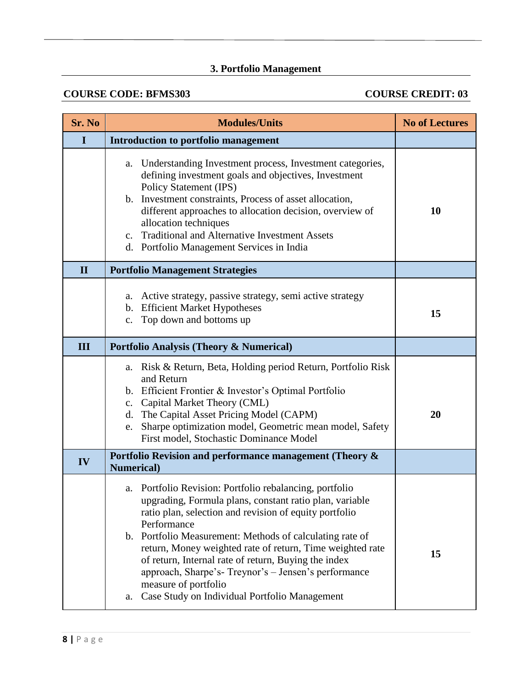## **3. Portfolio Management**

## **COURSE CODE: BFMS303** COURSE CREDIT: 03

| Sr. No       | <b>Modules/Units</b>                                                                                                                                                                                                                                                                                                                                                                                                                                                                                               | <b>No of Lectures</b> |
|--------------|--------------------------------------------------------------------------------------------------------------------------------------------------------------------------------------------------------------------------------------------------------------------------------------------------------------------------------------------------------------------------------------------------------------------------------------------------------------------------------------------------------------------|-----------------------|
| I            | Introduction to portfolio management                                                                                                                                                                                                                                                                                                                                                                                                                                                                               |                       |
|              | Understanding Investment process, Investment categories,<br>a.<br>defining investment goals and objectives, Investment<br><b>Policy Statement (IPS)</b><br>b. Investment constraints, Process of asset allocation,<br>different approaches to allocation decision, overview of<br>allocation techniques<br><b>Traditional and Alternative Investment Assets</b><br>$\mathbf{c}$ .<br>d. Portfolio Management Services in India                                                                                     | <b>10</b>             |
| $\mathbf{I}$ | <b>Portfolio Management Strategies</b>                                                                                                                                                                                                                                                                                                                                                                                                                                                                             |                       |
|              | a. Active strategy, passive strategy, semi active strategy<br>b. Efficient Market Hypotheses<br>Top down and bottoms up<br>c.                                                                                                                                                                                                                                                                                                                                                                                      | 15                    |
| III          | <b>Portfolio Analysis (Theory &amp; Numerical)</b>                                                                                                                                                                                                                                                                                                                                                                                                                                                                 |                       |
|              | a. Risk & Return, Beta, Holding period Return, Portfolio Risk<br>and Return<br>b. Efficient Frontier & Investor's Optimal Portfolio<br>c. Capital Market Theory (CML)<br>d. The Capital Asset Pricing Model (CAPM)<br>Sharpe optimization model, Geometric mean model, Safety<br>e.<br>First model, Stochastic Dominance Model                                                                                                                                                                                     | 20                    |
| IV           | Portfolio Revision and performance management (Theory &<br><b>Numerical</b> )                                                                                                                                                                                                                                                                                                                                                                                                                                      |                       |
|              | a. Portfolio Revision: Portfolio rebalancing, portfolio<br>upgrading, Formula plans, constant ratio plan, variable<br>ratio plan, selection and revision of equity portfolio<br>Performance<br>b. Portfolio Measurement: Methods of calculating rate of<br>return, Money weighted rate of return, Time weighted rate<br>of return, Internal rate of return, Buying the index<br>approach, Sharpe's-Treynor's - Jensen's performance<br>measure of portfolio<br>Case Study on Individual Portfolio Management<br>a. | 15                    |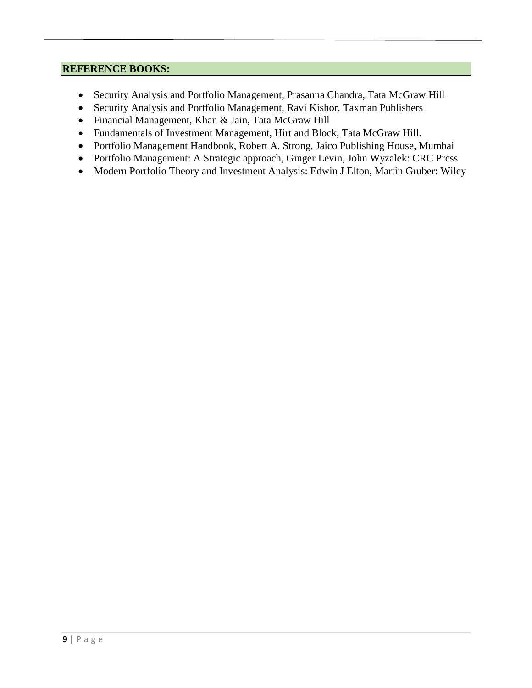- Security Analysis and Portfolio Management, Prasanna Chandra, Tata McGraw Hill
- Security Analysis and Portfolio Management, Ravi Kishor, Taxman Publishers
- Financial Management, Khan & Jain, Tata McGraw Hill
- Fundamentals of Investment Management, Hirt and Block, Tata McGraw Hill.
- Portfolio Management Handbook, Robert A. Strong, Jaico Publishing House, Mumbai
- Portfolio Management: A Strategic approach, Ginger Levin, John Wyzalek: CRC Press
- Modern Portfolio Theory and Investment Analysis: Edwin J Elton, Martin Gruber: Wiley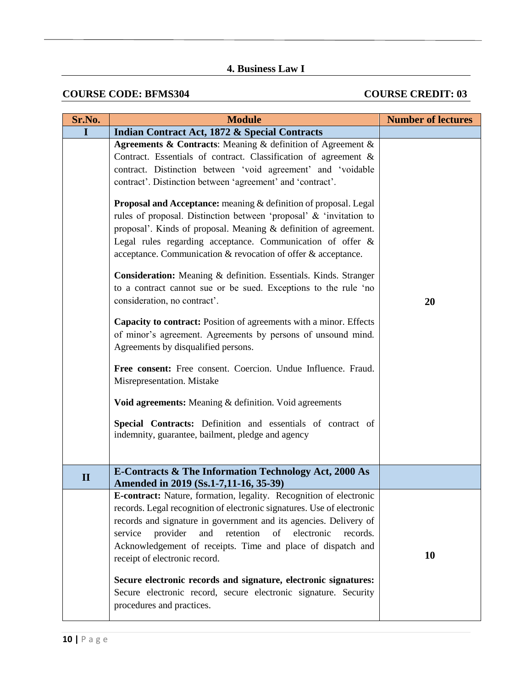## **4. Business Law I**

## **COURSE CODE: BFMS304** COURSE CREDIT: 03

| Sr.No.       | <b>Module</b>                                                                                                                                                                                                                                                                                                                                                                                                                                                                                                                                                                                                                                                                                                                                                                                                                                                                                                                                                                                                                                                                                                                                                                                                                                | <b>Number of lectures</b> |
|--------------|----------------------------------------------------------------------------------------------------------------------------------------------------------------------------------------------------------------------------------------------------------------------------------------------------------------------------------------------------------------------------------------------------------------------------------------------------------------------------------------------------------------------------------------------------------------------------------------------------------------------------------------------------------------------------------------------------------------------------------------------------------------------------------------------------------------------------------------------------------------------------------------------------------------------------------------------------------------------------------------------------------------------------------------------------------------------------------------------------------------------------------------------------------------------------------------------------------------------------------------------|---------------------------|
| L            | <b>Indian Contract Act, 1872 &amp; Special Contracts</b>                                                                                                                                                                                                                                                                                                                                                                                                                                                                                                                                                                                                                                                                                                                                                                                                                                                                                                                                                                                                                                                                                                                                                                                     |                           |
|              | Agreements & Contracts: Meaning & definition of Agreement &<br>Contract. Essentials of contract. Classification of agreement &<br>contract. Distinction between 'void agreement' and 'voidable<br>contract'. Distinction between 'agreement' and 'contract'.<br>Proposal and Acceptance: meaning & definition of proposal. Legal<br>rules of proposal. Distinction between 'proposal' & 'invitation to<br>proposal'. Kinds of proposal. Meaning $&$ definition of agreement.<br>Legal rules regarding acceptance. Communication of offer &<br>acceptance. Communication & revocation of offer & acceptance.<br>Consideration: Meaning & definition. Essentials. Kinds. Stranger<br>to a contract cannot sue or be sued. Exceptions to the rule 'no<br>consideration, no contract'.<br>Capacity to contract: Position of agreements with a minor. Effects<br>of minor's agreement. Agreements by persons of unsound mind.<br>Agreements by disqualified persons.<br>Free consent: Free consent. Coercion. Undue Influence. Fraud.<br>Misrepresentation. Mistake<br>Void agreements: Meaning & definition. Void agreements<br>Special Contracts: Definition and essentials of contract of<br>indemnity, guarantee, bailment, pledge and agency | 20                        |
| $\mathbf{I}$ | <b>E-Contracts &amp; The Information Technology Act, 2000 As</b><br>Amended in 2019 (Ss.1-7,11-16, 35-39)                                                                                                                                                                                                                                                                                                                                                                                                                                                                                                                                                                                                                                                                                                                                                                                                                                                                                                                                                                                                                                                                                                                                    |                           |
|              | E-contract: Nature, formation, legality. Recognition of electronic<br>records. Legal recognition of electronic signatures. Use of electronic<br>records and signature in government and its agencies. Delivery of<br>provider<br>and<br>retention<br>of<br>electronic<br>records.<br>service<br>Acknowledgement of receipts. Time and place of dispatch and<br>receipt of electronic record.<br>Secure electronic records and signature, electronic signatures:<br>Secure electronic record, secure electronic signature. Security<br>procedures and practices.                                                                                                                                                                                                                                                                                                                                                                                                                                                                                                                                                                                                                                                                              | 10                        |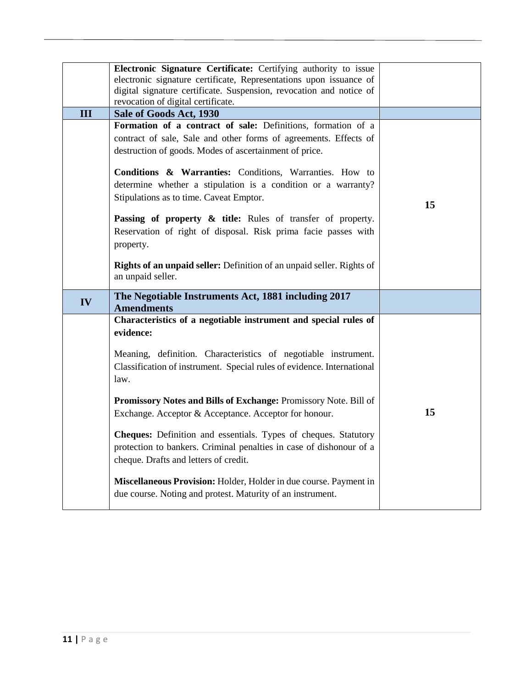|     | Electronic Signature Certificate: Certifying authority to issue<br>electronic signature certificate, Representations upon issuance of<br>digital signature certificate. Suspension, revocation and notice of<br>revocation of digital certificate. |    |
|-----|----------------------------------------------------------------------------------------------------------------------------------------------------------------------------------------------------------------------------------------------------|----|
| III | Sale of Goods Act, 1930                                                                                                                                                                                                                            |    |
|     | Formation of a contract of sale: Definitions, formation of a<br>contract of sale, Sale and other forms of agreements. Effects of<br>destruction of goods. Modes of ascertainment of price.                                                         |    |
|     | Conditions & Warranties: Conditions, Warranties. How to<br>determine whether a stipulation is a condition or a warranty?<br>Stipulations as to time. Caveat Emptor.                                                                                | 15 |
|     | Passing of property & title: Rules of transfer of property.<br>Reservation of right of disposal. Risk prima facie passes with<br>property.                                                                                                         |    |
|     | Rights of an unpaid seller: Definition of an unpaid seller. Rights of<br>an unpaid seller.                                                                                                                                                         |    |
| IV  | The Negotiable Instruments Act, 1881 including 2017<br><b>Amendments</b>                                                                                                                                                                           |    |
|     | Characteristics of a negotiable instrument and special rules of<br>evidence:                                                                                                                                                                       |    |
|     | Meaning, definition. Characteristics of negotiable instrument.                                                                                                                                                                                     |    |
|     | Classification of instrument. Special rules of evidence. International<br>law.                                                                                                                                                                     |    |
|     | Promissory Notes and Bills of Exchange: Promissory Note. Bill of<br>Exchange. Acceptor & Acceptance. Acceptor for honour.                                                                                                                          | 15 |
|     | Cheques: Definition and essentials. Types of cheques. Statutory<br>protection to bankers. Criminal penalties in case of dishonour of a<br>cheque. Drafts and letters of credit.                                                                    |    |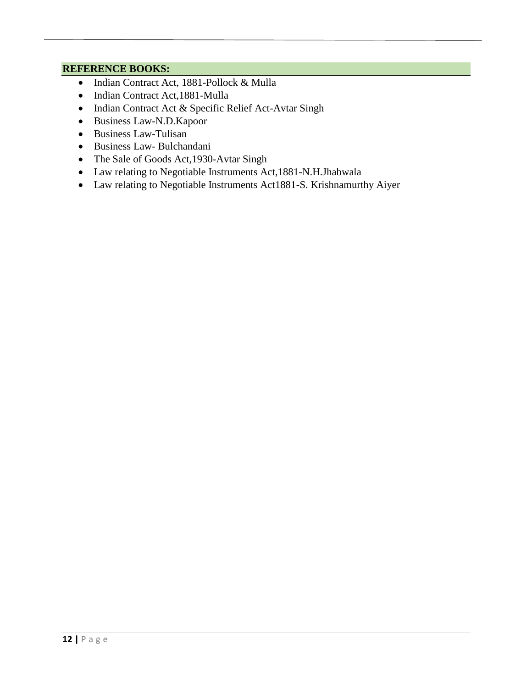- Indian Contract Act, 1881-Pollock & Mulla
- Indian Contract Act,1881-Mulla
- Indian Contract Act & Specific Relief Act-Avtar Singh
- Business Law-N.D.Kapoor
- Business Law-Tulisan
- Business Law- Bulchandani
- The Sale of Goods Act,1930-Avtar Singh
- Law relating to Negotiable Instruments Act,1881-N.H.Jhabwala
- Law relating to Negotiable Instruments Act1881-S. Krishnamurthy Aiyer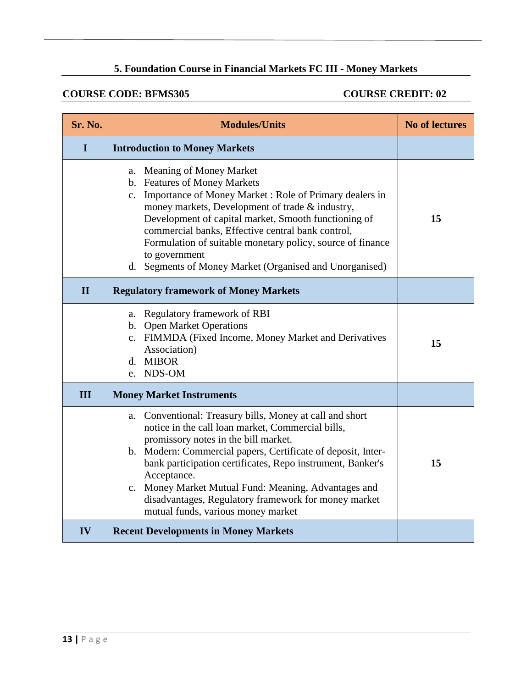## **5. Foundation Course in Financial Markets FC III - Money Markets**

## **COURSE CODE: BFMS305 COURSE CREDIT: 02**

| Sr. No.      | <b>Modules/Units</b>                                                                                                                                                                                                                                                                                                                                                                                                                                     | <b>No of lectures</b> |
|--------------|----------------------------------------------------------------------------------------------------------------------------------------------------------------------------------------------------------------------------------------------------------------------------------------------------------------------------------------------------------------------------------------------------------------------------------------------------------|-----------------------|
| I            | <b>Introduction to Money Markets</b>                                                                                                                                                                                                                                                                                                                                                                                                                     |                       |
|              | a. Meaning of Money Market<br>b. Features of Money Markets<br>c. Importance of Money Market: Role of Primary dealers in<br>money markets, Development of trade & industry,<br>Development of capital market, Smooth functioning of<br>commercial banks, Effective central bank control,<br>Formulation of suitable monetary policy, source of finance<br>to government<br>d. Segments of Money Market (Organised and Unorganised)                        | 15                    |
| $\mathbf{I}$ | <b>Regulatory framework of Money Markets</b>                                                                                                                                                                                                                                                                                                                                                                                                             |                       |
|              | a. Regulatory framework of RBI<br>b. Open Market Operations<br>c. FIMMDA (Fixed Income, Money Market and Derivatives<br>Association)<br>d. MIBOR<br>e. NDS-OM                                                                                                                                                                                                                                                                                            | 15                    |
| III          | <b>Money Market Instruments</b>                                                                                                                                                                                                                                                                                                                                                                                                                          |                       |
|              | a. Conventional: Treasury bills, Money at call and short<br>notice in the call loan market, Commercial bills,<br>promissory notes in the bill market.<br>b. Modern: Commercial papers, Certificate of deposit, Inter-<br>bank participation certificates, Repo instrument, Banker's<br>Acceptance.<br>c. Money Market Mutual Fund: Meaning, Advantages and<br>disadvantages, Regulatory framework for money market<br>mutual funds, various money market | 15                    |
| IV           | <b>Recent Developments in Money Markets</b>                                                                                                                                                                                                                                                                                                                                                                                                              |                       |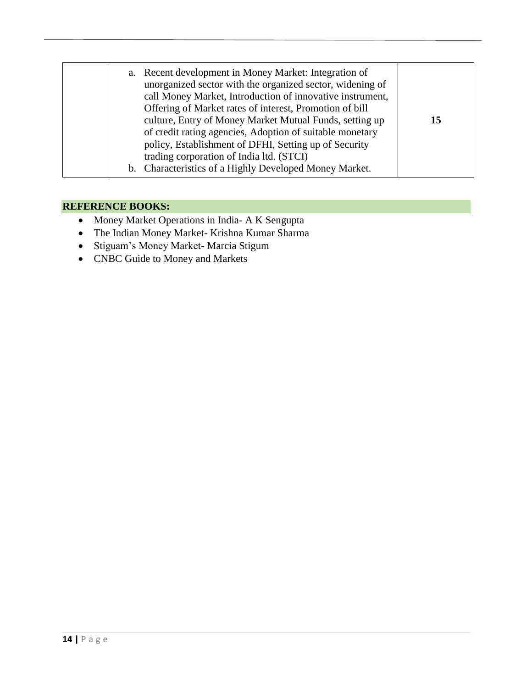|  | a.<br>b. | Recent development in Money Market: Integration of<br>unorganized sector with the organized sector, widening of<br>call Money Market, Introduction of innovative instrument,<br>Offering of Market rates of interest, Promotion of bill<br>culture, Entry of Money Market Mutual Funds, setting up<br>of credit rating agencies, Adoption of suitable monetary<br>policy, Establishment of DFHI, Setting up of Security<br>trading corporation of India ltd. (STCI)<br>Characteristics of a Highly Developed Money Market. | 15 |
|--|----------|----------------------------------------------------------------------------------------------------------------------------------------------------------------------------------------------------------------------------------------------------------------------------------------------------------------------------------------------------------------------------------------------------------------------------------------------------------------------------------------------------------------------------|----|
|--|----------|----------------------------------------------------------------------------------------------------------------------------------------------------------------------------------------------------------------------------------------------------------------------------------------------------------------------------------------------------------------------------------------------------------------------------------------------------------------------------------------------------------------------------|----|

- Money Market Operations in India- A K Sengupta
- The Indian Money Market- Krishna Kumar Sharma
- Stiguam's Money Market- Marcia Stigum
- CNBC Guide to Money and Markets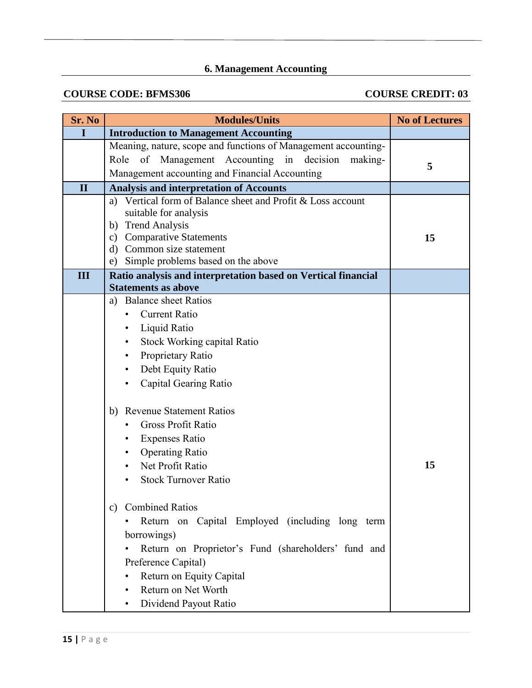# **6. Management Accounting**

## **COURSE CODE: BFMS306 COURSE CREDIT: 03**

| Sr. No       | <b>Modules/Units</b>                                                                                                                                                                                                                                                                                                                                 | <b>No of Lectures</b> |
|--------------|------------------------------------------------------------------------------------------------------------------------------------------------------------------------------------------------------------------------------------------------------------------------------------------------------------------------------------------------------|-----------------------|
| $\mathbf I$  | <b>Introduction to Management Accounting</b>                                                                                                                                                                                                                                                                                                         |                       |
|              | Meaning, nature, scope and functions of Management accounting-<br>of Management Accounting in decision<br>Role<br>making-<br>Management accounting and Financial Accounting                                                                                                                                                                          | 5                     |
| $\mathbf{I}$ | <b>Analysis and interpretation of Accounts</b>                                                                                                                                                                                                                                                                                                       |                       |
|              | a) Vertical form of Balance sheet and Profit & Loss account<br>suitable for analysis<br>b) Trend Analysis<br>c) Comparative Statements<br>d) Common size statement<br>Simple problems based on the above<br>e)                                                                                                                                       | 15                    |
| III          | Ratio analysis and interpretation based on Vertical financial<br><b>Statements as above</b>                                                                                                                                                                                                                                                          |                       |
|              | a) Balance sheet Ratios<br><b>Current Ratio</b><br>Liquid Ratio<br><b>Stock Working capital Ratio</b><br>Proprietary Ratio<br>Debt Equity Ratio<br>Capital Gearing Ratio<br><b>Revenue Statement Ratios</b><br>b)<br><b>Gross Profit Ratio</b><br><b>Expenses Ratio</b><br><b>Operating Ratio</b><br>Net Profit Ratio<br><b>Stock Turnover Ratio</b> | 15                    |
|              | <b>Combined Ratios</b><br>C)<br>Return on Capital Employed (including long term<br>borrowings)<br>Return on Proprietor's Fund (shareholders' fund and<br>Preference Capital)<br>Return on Equity Capital<br>Return on Net Worth<br>Dividend Payout Ratio                                                                                             |                       |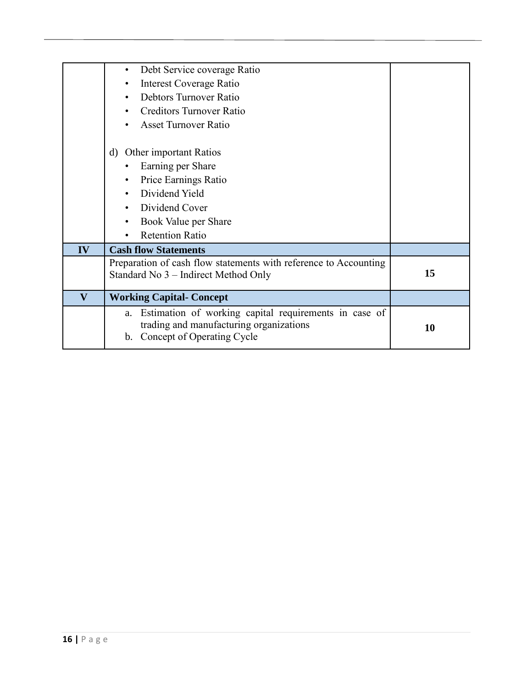|                         | Debt Service coverage Ratio                                                                                                                |    |
|-------------------------|--------------------------------------------------------------------------------------------------------------------------------------------|----|
|                         | Interest Coverage Ratio                                                                                                                    |    |
|                         | Debtors Turnover Ratio                                                                                                                     |    |
|                         | <b>Creditors Turnover Ratio</b>                                                                                                            |    |
|                         | <b>Asset Turnover Ratio</b>                                                                                                                |    |
|                         | <b>Other</b> important Ratios<br>d)                                                                                                        |    |
|                         | Earning per Share                                                                                                                          |    |
|                         | Price Earnings Ratio                                                                                                                       |    |
|                         | Dividend Yield                                                                                                                             |    |
|                         | Dividend Cover                                                                                                                             |    |
|                         | Book Value per Share                                                                                                                       |    |
|                         | <b>Retention Ratio</b>                                                                                                                     |    |
| IV                      | <b>Cash flow Statements</b>                                                                                                                |    |
|                         | Preparation of cash flow statements with reference to Accounting<br>Standard No 3 – Indirect Method Only                                   | 15 |
| $\overline{\mathbf{V}}$ | <b>Working Capital- Concept</b>                                                                                                            |    |
|                         | Estimation of working capital requirements in case of<br>a.<br>trading and manufacturing organizations<br>Concept of Operating Cycle<br>b. | 10 |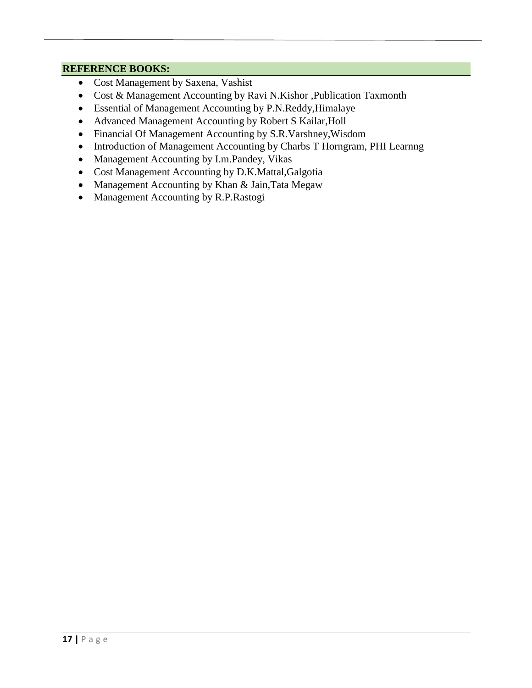- Cost Management by Saxena, Vashist
- Cost & Management Accounting by Ravi N.Kishor , Publication Taxmonth
- Essential of Management Accounting by P.N.Reddy,Himalaye
- Advanced Management Accounting by Robert S Kailar,Holl
- Financial Of Management Accounting by S.R.Varshney,Wisdom
- Introduction of Management Accounting by Charbs T Horngram, PHI Learnng
- Management Accounting by I.m.Pandey, Vikas
- Cost Management Accounting by D.K.Mattal,Galgotia
- Management Accounting by Khan & Jain, Tata Megaw
- Management Accounting by R.P.Rastogi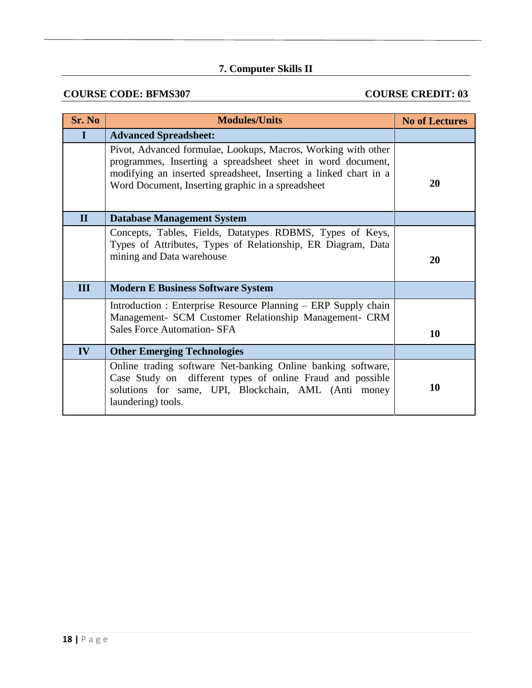# **7. Computer Skills II**

## **COURSE CODE: BFMS307** COURSE CREDIT: 03

| Sr. No       | <b>Modules/Units</b>                                                                                                                                                                                                                                  | <b>No of Lectures</b> |
|--------------|-------------------------------------------------------------------------------------------------------------------------------------------------------------------------------------------------------------------------------------------------------|-----------------------|
| I            | <b>Advanced Spreadsheet:</b>                                                                                                                                                                                                                          |                       |
|              | Pivot, Advanced formulae, Lookups, Macros, Working with other<br>programmes, Inserting a spreadsheet sheet in word document,<br>modifying an inserted spreadsheet, Inserting a linked chart in a<br>Word Document, Inserting graphic in a spreadsheet | 20                    |
| $\mathbf{I}$ | <b>Database Management System</b>                                                                                                                                                                                                                     |                       |
|              | Concepts, Tables, Fields, Datatypes RDBMS, Types of Keys,<br>Types of Attributes, Types of Relationship, ER Diagram, Data<br>mining and Data warehouse                                                                                                | 20                    |
| III          | <b>Modern E Business Software System</b>                                                                                                                                                                                                              |                       |
|              | Introduction : Enterprise Resource Planning – ERP Supply chain<br>Management- SCM Customer Relationship Management- CRM                                                                                                                               |                       |
|              | <b>Sales Force Automation- SFA</b>                                                                                                                                                                                                                    | 10                    |
| IV           | <b>Other Emerging Technologies</b>                                                                                                                                                                                                                    |                       |
|              | Online trading software Net-banking Online banking software,<br>Case Study on different types of online Fraud and possible<br>solutions for same, UPI, Blockchain, AML (Anti money<br>laundering) tools.                                              | 10                    |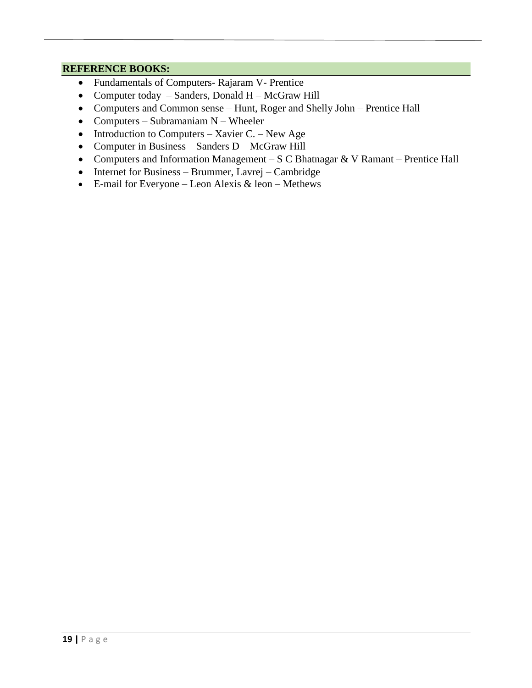- Fundamentals of Computers- Rajaram V- Prentice
- Computer today Sanders, Donald H McGraw Hill
- Computers and Common sense Hunt, Roger and Shelly John Prentice Hall
- Computers Subramaniam N Wheeler
- Introduction to Computers Xavier C. New Age
- Computer in Business Sanders D McGraw Hill
- Computers and Information Management S C Bhatnagar & V Ramant Prentice Hall
- Internet for Business Brummer, Lavrej Cambridge
- E-mail for Everyone Leon Alexis & leon Methews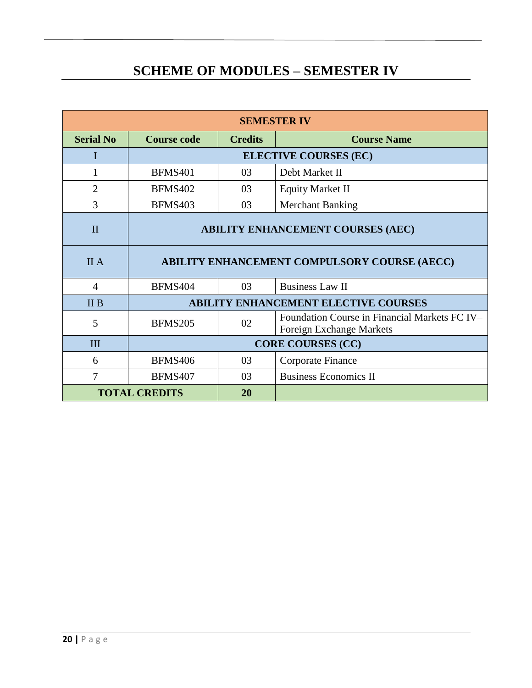# **SCHEME OF MODULES – SEMESTER IV**

| <b>SEMESTER IV</b>         |                                                            |                         |                                                                           |  |
|----------------------------|------------------------------------------------------------|-------------------------|---------------------------------------------------------------------------|--|
| <b>Serial No</b>           | <b>Course Name</b><br><b>Course code</b><br><b>Credits</b> |                         |                                                                           |  |
| I                          | <b>ELECTIVE COURSES (EC)</b>                               |                         |                                                                           |  |
|                            | <b>BFMS401</b>                                             | 03                      | Debt Market II                                                            |  |
| $\overline{2}$             | <b>BFMS402</b>                                             | 03                      | <b>Equity Market II</b>                                                   |  |
| 3                          | <b>BFMS403</b>                                             | 03                      | <b>Merchant Banking</b>                                                   |  |
| $\mathbf{I}$               | <b>ABILITY ENHANCEMENT COURSES (AEC)</b>                   |                         |                                                                           |  |
| <b>II</b> A                | <b>ABILITY ENHANCEMENT COMPULSORY COURSE (AECC)</b>        |                         |                                                                           |  |
| 4                          | <b>BFMS404</b>                                             | 03                      | <b>Business Law II</b>                                                    |  |
| II B                       | <b>ABILITY ENHANCEMENT ELECTIVE COURSES</b>                |                         |                                                                           |  |
| 5                          | <b>BFMS205</b>                                             | 02                      | Foundation Course in Financial Markets FC IV-<br>Foreign Exchange Markets |  |
| Ш                          | <b>CORE COURSES (CC)</b>                                   |                         |                                                                           |  |
| 6                          | <b>BFMS406</b>                                             | 03<br>Corporate Finance |                                                                           |  |
| 7                          | <b>BFMS407</b>                                             | 03                      | <b>Business Economics II</b>                                              |  |
| <b>TOTAL CREDITS</b><br>20 |                                                            |                         |                                                                           |  |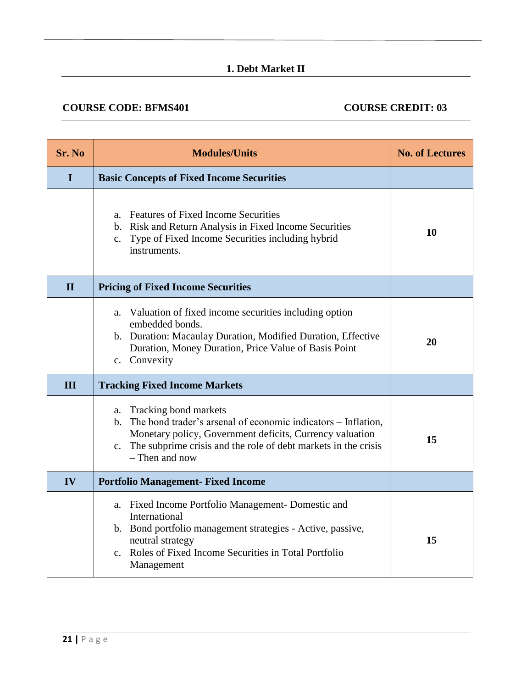## **1. Debt Market II**

## **COURSE CODE: BFMS401 COURSE CREDIT: 03**

| Sr. No       | <b>Modules/Units</b>                                                                                                                                                                                                                                       | <b>No. of Lectures</b> |
|--------------|------------------------------------------------------------------------------------------------------------------------------------------------------------------------------------------------------------------------------------------------------------|------------------------|
| $\bf{I}$     | <b>Basic Concepts of Fixed Income Securities</b>                                                                                                                                                                                                           |                        |
|              | <b>Features of Fixed Income Securities</b><br>a.<br>b. Risk and Return Analysis in Fixed Income Securities<br>c. Type of Fixed Income Securities including hybrid<br>instruments.                                                                          | 10                     |
| $\mathbf{I}$ | <b>Pricing of Fixed Income Securities</b>                                                                                                                                                                                                                  |                        |
|              | Valuation of fixed income securities including option<br>a.<br>embedded bonds.<br>b. Duration: Macaulay Duration, Modified Duration, Effective<br>Duration, Money Duration, Price Value of Basis Point<br>c. Convexity                                     | 20                     |
| Ш            | <b>Tracking Fixed Income Markets</b>                                                                                                                                                                                                                       |                        |
|              | Tracking bond markets<br>a.<br>The bond trader's arsenal of economic indicators – Inflation,<br>$h_{-}$<br>Monetary policy, Government deficits, Currency valuation<br>c. The subprime crisis and the role of debt markets in the crisis<br>- Then and now | 15                     |
| IV           | <b>Portfolio Management- Fixed Income</b>                                                                                                                                                                                                                  |                        |
|              | a. Fixed Income Portfolio Management- Domestic and<br>International<br>b. Bond portfolio management strategies - Active, passive,<br>neutral strategy<br>c. Roles of Fixed Income Securities in Total Portfolio<br>Management                              | 15                     |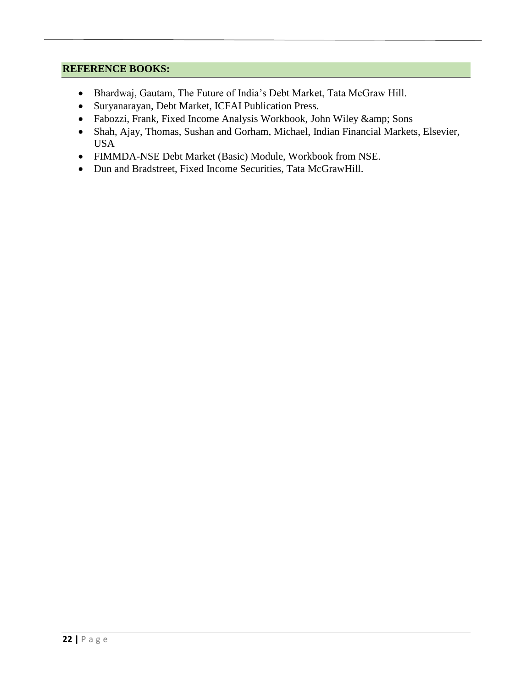- Bhardwaj, Gautam, The Future of India's Debt Market, Tata McGraw Hill.
- Suryanarayan, Debt Market, ICFAI Publication Press.
- Fabozzi, Frank, Fixed Income Analysis Workbook, John Wiley & amp; Sons
- Shah, Ajay, Thomas, Sushan and Gorham, Michael, Indian Financial Markets, Elsevier, USA
- FIMMDA-NSE Debt Market (Basic) Module, Workbook from NSE.
- Dun and Bradstreet, Fixed Income Securities, Tata McGrawHill.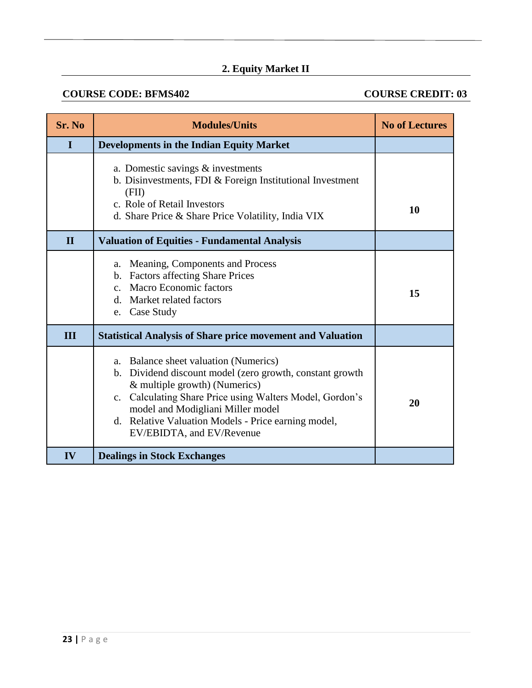# **2. Equity Market II**

## **COURSE CODE: BFMS402** COURSE CREDIT: 03

| Sr. No       | <b>Modules/Units</b>                                                                                                                                                                                                                                                                                                                                          | <b>No of Lectures</b> |
|--------------|---------------------------------------------------------------------------------------------------------------------------------------------------------------------------------------------------------------------------------------------------------------------------------------------------------------------------------------------------------------|-----------------------|
| $\mathbf I$  | <b>Developments in the Indian Equity Market</b>                                                                                                                                                                                                                                                                                                               |                       |
|              | a. Domestic savings $&$ investments<br>b. Disinvestments, FDI & Foreign Institutional Investment<br>(FII)<br>c. Role of Retail Investors<br>d. Share Price & Share Price Volatility, India VIX                                                                                                                                                                | 10                    |
| $\mathbf{I}$ | <b>Valuation of Equities - Fundamental Analysis</b>                                                                                                                                                                                                                                                                                                           |                       |
|              | Meaning, Components and Process<br>a.<br>b. Factors affecting Share Prices<br>c. Macro Economic factors<br>Market related factors<br>$d_{-}$<br>e. Case Study                                                                                                                                                                                                 | 15                    |
| Ш            | <b>Statistical Analysis of Share price movement and Valuation</b>                                                                                                                                                                                                                                                                                             |                       |
| IV           | a. Balance sheet valuation (Numerics)<br>b. Dividend discount model (zero growth, constant growth<br>& multiple growth) (Numerics)<br>c. Calculating Share Price using Walters Model, Gordon's<br>model and Modigliani Miller model<br>d. Relative Valuation Models - Price earning model,<br>EV/EBIDTA, and EV/Revenue<br><b>Dealings in Stock Exchanges</b> | 20                    |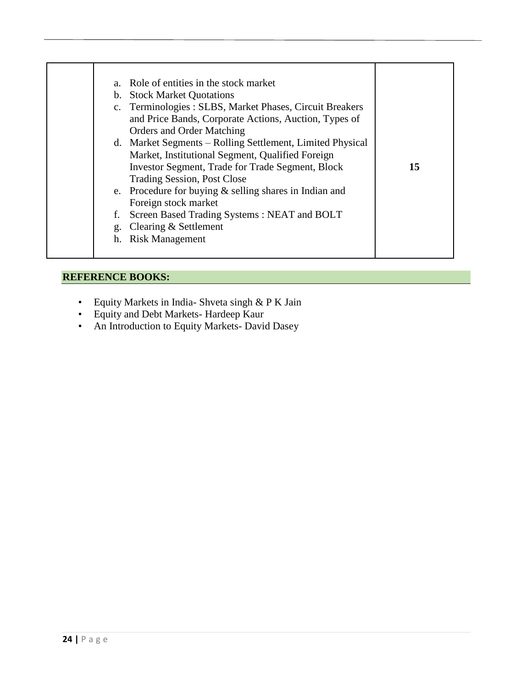| e. Procedure for buying $&$ selling shares in Indian and<br>Foreign stock market<br>Screen Based Trading Systems: NEAT and BOLT<br>f.<br>g. Clearing & Settlement<br>h. Risk Management |
|-----------------------------------------------------------------------------------------------------------------------------------------------------------------------------------------|
|-----------------------------------------------------------------------------------------------------------------------------------------------------------------------------------------|

- Equity Markets in India- Shveta singh & P K Jain
- Equity and Debt Markets- Hardeep Kaur
- An Introduction to Equity Markets- David Dasey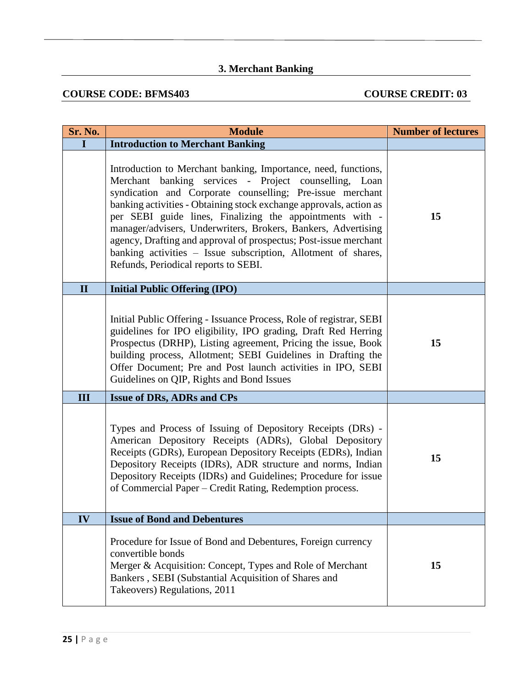# **3. Merchant Banking**

## **COURSE CODE: BFMS403** COURSE CREDIT: 03

| <b>Sr. No.</b> | <b>Module</b>                                                                                                                                                                                                                                                                                                                                                                                                                                                                                                                                                        | <b>Number of lectures</b> |
|----------------|----------------------------------------------------------------------------------------------------------------------------------------------------------------------------------------------------------------------------------------------------------------------------------------------------------------------------------------------------------------------------------------------------------------------------------------------------------------------------------------------------------------------------------------------------------------------|---------------------------|
| $\mathbf I$    | <b>Introduction to Merchant Banking</b>                                                                                                                                                                                                                                                                                                                                                                                                                                                                                                                              |                           |
|                | Introduction to Merchant banking, Importance, need, functions,<br>Merchant banking services - Project counselling, Loan<br>syndication and Corporate counselling; Pre-issue merchant<br>banking activities - Obtaining stock exchange approvals, action as<br>per SEBI guide lines, Finalizing the appointments with -<br>manager/advisers, Underwriters, Brokers, Bankers, Advertising<br>agency, Drafting and approval of prospectus; Post-issue merchant<br>banking activities - Issue subscription, Allotment of shares,<br>Refunds, Periodical reports to SEBI. | 15                        |
| $\mathbf{I}$   | <b>Initial Public Offering (IPO)</b>                                                                                                                                                                                                                                                                                                                                                                                                                                                                                                                                 |                           |
|                | Initial Public Offering - Issuance Process, Role of registrar, SEBI<br>guidelines for IPO eligibility, IPO grading, Draft Red Herring<br>Prospectus (DRHP), Listing agreement, Pricing the issue, Book<br>building process, Allotment; SEBI Guidelines in Drafting the<br>Offer Document; Pre and Post launch activities in IPO, SEBI<br>Guidelines on QIP, Rights and Bond Issues                                                                                                                                                                                   | 15                        |
| III            | <b>Issue of DRs, ADRs and CPs</b>                                                                                                                                                                                                                                                                                                                                                                                                                                                                                                                                    |                           |
|                | Types and Process of Issuing of Depository Receipts (DRs) -<br>American Depository Receipts (ADRs), Global Depository<br>Receipts (GDRs), European Depository Receipts (EDRs), Indian<br>Depository Receipts (IDRs), ADR structure and norms, Indian<br>Depository Receipts (IDRs) and Guidelines; Procedure for issue<br>of Commercial Paper – Credit Rating, Redemption process.                                                                                                                                                                                   | 15                        |
| IV             | <b>Issue of Bond and Debentures</b>                                                                                                                                                                                                                                                                                                                                                                                                                                                                                                                                  |                           |
|                | Procedure for Issue of Bond and Debentures, Foreign currency<br>convertible bonds<br>Merger & Acquisition: Concept, Types and Role of Merchant<br>Bankers, SEBI (Substantial Acquisition of Shares and<br>Takeovers) Regulations, 2011                                                                                                                                                                                                                                                                                                                               | 15                        |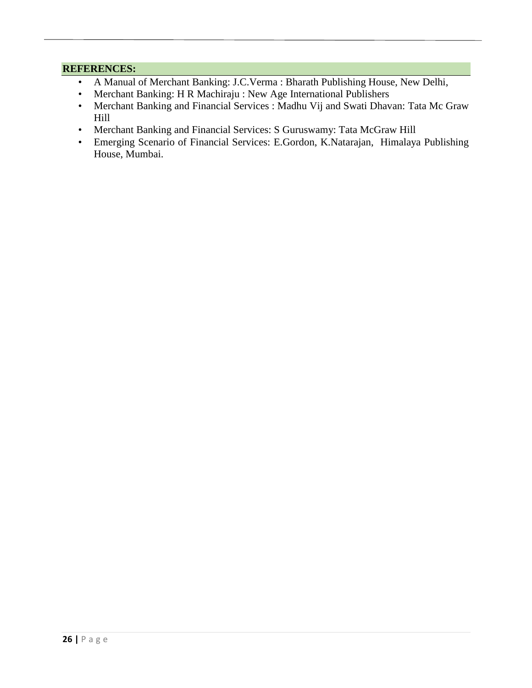### **REFERENCES:**

- A Manual of Merchant Banking: J.C.Verma : Bharath Publishing House, New Delhi,
- Merchant Banking: H R Machiraju : New Age International Publishers
- Merchant Banking and Financial Services : Madhu Vij and Swati Dhavan: Tata Mc Graw Hill
- Merchant Banking and Financial Services: S Guruswamy: Tata McGraw Hill
- Emerging Scenario of Financial Services: E.Gordon, K.Natarajan, Himalaya Publishing House, Mumbai.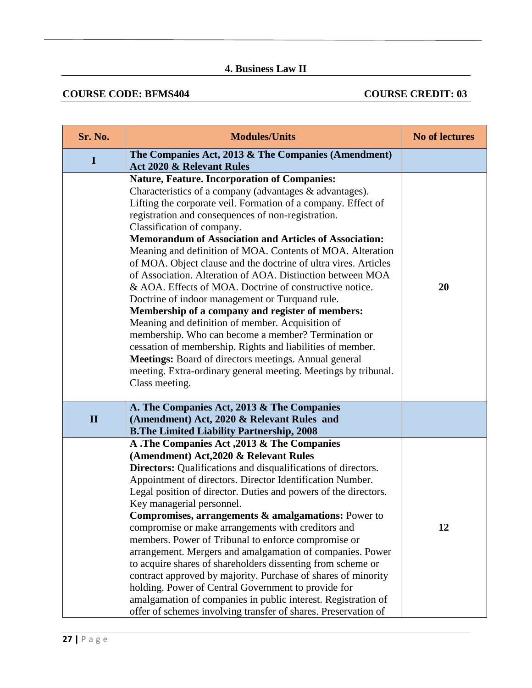## **4. Business Law II**

### **COURSE CODE: BFMS404** COURSE CREDIT: 03

| Sr. No.      | <b>Modules/Units</b>                                                                                                                                                                                                                                                                                                                                                                                                                                                                                                                                                                                                                                                                                                                                                                                                                                                                                                                                                                                                        | <b>No of lectures</b> |
|--------------|-----------------------------------------------------------------------------------------------------------------------------------------------------------------------------------------------------------------------------------------------------------------------------------------------------------------------------------------------------------------------------------------------------------------------------------------------------------------------------------------------------------------------------------------------------------------------------------------------------------------------------------------------------------------------------------------------------------------------------------------------------------------------------------------------------------------------------------------------------------------------------------------------------------------------------------------------------------------------------------------------------------------------------|-----------------------|
| $\mathbf I$  | The Companies Act, 2013 & The Companies (Amendment)<br><b>Act 2020 &amp; Relevant Rules</b>                                                                                                                                                                                                                                                                                                                                                                                                                                                                                                                                                                                                                                                                                                                                                                                                                                                                                                                                 |                       |
|              | <b>Nature, Feature. Incorporation of Companies:</b><br>Characteristics of a company (advantages & advantages).<br>Lifting the corporate veil. Formation of a company. Effect of<br>registration and consequences of non-registration.<br>Classification of company.<br><b>Memorandum of Association and Articles of Association:</b><br>Meaning and definition of MOA. Contents of MOA. Alteration<br>of MOA. Object clause and the doctrine of ultra vires. Articles<br>of Association. Alteration of AOA. Distinction between MOA<br>& AOA. Effects of MOA. Doctrine of constructive notice.<br>Doctrine of indoor management or Turquand rule.<br>Membership of a company and register of members:<br>Meaning and definition of member. Acquisition of<br>membership. Who can become a member? Termination or<br>cessation of membership. Rights and liabilities of member.<br>Meetings: Board of directors meetings. Annual general<br>meeting. Extra-ordinary general meeting. Meetings by tribunal.<br>Class meeting. | 20                    |
| $\mathbf{I}$ | A. The Companies Act, 2013 & The Companies<br>(Amendment) Act, 2020 & Relevant Rules and<br><b>B.The Limited Liability Partnership, 2008</b>                                                                                                                                                                                                                                                                                                                                                                                                                                                                                                                                                                                                                                                                                                                                                                                                                                                                                |                       |
|              | A .The Companies Act, 2013 & The Companies<br>(Amendment) Act, 2020 & Relevant Rules<br><b>Directors:</b> Qualifications and disqualifications of directors.<br>Appointment of directors. Director Identification Number.<br>Legal position of director. Duties and powers of the directors.<br>Key managerial personnel.<br><b>Compromises, arrangements &amp; amalgamations:</b> Power to<br>compromise or make arrangements with creditors and<br>members. Power of Tribunal to enforce compromise or<br>arrangement. Mergers and amalgamation of companies. Power<br>to acquire shares of shareholders dissenting from scheme or<br>contract approved by majority. Purchase of shares of minority<br>holding. Power of Central Government to provide for<br>amalgamation of companies in public interest. Registration of<br>offer of schemes involving transfer of shares. Preservation of                                                                                                                             | 12                    |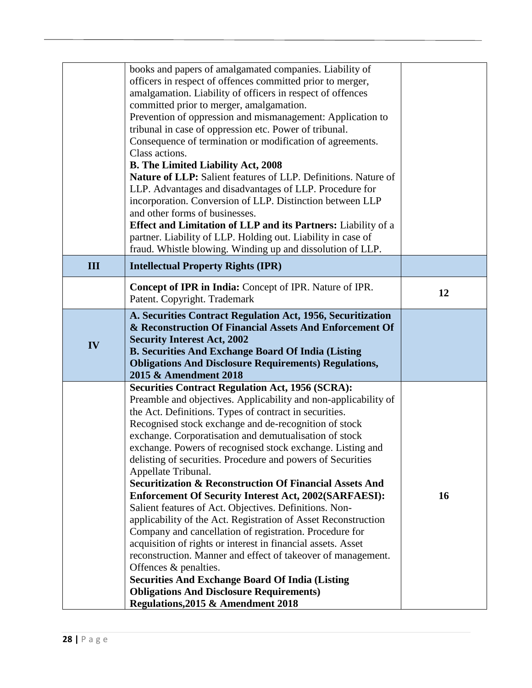|     | books and papers of amalgamated companies. Liability of                                                                       |    |
|-----|-------------------------------------------------------------------------------------------------------------------------------|----|
|     | officers in respect of offences committed prior to merger,                                                                    |    |
|     | amalgamation. Liability of officers in respect of offences                                                                    |    |
|     | committed prior to merger, amalgamation.                                                                                      |    |
|     | Prevention of oppression and mismanagement: Application to                                                                    |    |
|     | tribunal in case of oppression etc. Power of tribunal.                                                                        |    |
|     | Consequence of termination or modification of agreements.                                                                     |    |
|     | Class actions.                                                                                                                |    |
|     | <b>B. The Limited Liability Act, 2008</b>                                                                                     |    |
|     | Nature of LLP: Salient features of LLP. Definitions. Nature of                                                                |    |
|     | LLP. Advantages and disadvantages of LLP. Procedure for                                                                       |    |
|     | incorporation. Conversion of LLP. Distinction between LLP                                                                     |    |
|     | and other forms of businesses.                                                                                                |    |
|     | Effect and Limitation of LLP and its Partners: Liability of a<br>partner. Liability of LLP. Holding out. Liability in case of |    |
|     | fraud. Whistle blowing. Winding up and dissolution of LLP.                                                                    |    |
|     |                                                                                                                               |    |
| III | <b>Intellectual Property Rights (IPR)</b>                                                                                     |    |
|     | Concept of IPR in India: Concept of IPR. Nature of IPR.                                                                       | 12 |
|     | Patent. Copyright. Trademark                                                                                                  |    |
|     | A. Securities Contract Regulation Act, 1956, Securitization                                                                   |    |
|     | & Reconstruction Of Financial Assets And Enforcement Of                                                                       |    |
| IV  | <b>Security Interest Act, 2002</b>                                                                                            |    |
|     | <b>B. Securities And Exchange Board Of India (Listing</b>                                                                     |    |
|     |                                                                                                                               |    |
|     | <b>Obligations And Disclosure Requirements) Regulations,</b>                                                                  |    |
|     | 2015 & Amendment 2018                                                                                                         |    |
|     | <b>Securities Contract Regulation Act, 1956 (SCRA):</b>                                                                       |    |
|     | Preamble and objectives. Applicability and non-applicability of                                                               |    |
|     | the Act. Definitions. Types of contract in securities.                                                                        |    |
|     | Recognised stock exchange and de-recognition of stock                                                                         |    |
|     | exchange. Corporatisation and demutualisation of stock                                                                        |    |
|     | exchange. Powers of recognised stock exchange. Listing and                                                                    |    |
|     | delisting of securities. Procedure and powers of Securities                                                                   |    |
|     | Appellate Tribunal.                                                                                                           |    |
|     | <b>Securitization &amp; Reconstruction Of Financial Assets And</b>                                                            | 16 |
|     | <b>Enforcement Of Security Interest Act, 2002(SARFAESI):</b><br>Salient features of Act. Objectives. Definitions. Non-        |    |
|     | applicability of the Act. Registration of Asset Reconstruction                                                                |    |
|     | Company and cancellation of registration. Procedure for                                                                       |    |
|     | acquisition of rights or interest in financial assets. Asset                                                                  |    |
|     | reconstruction. Manner and effect of takeover of management.                                                                  |    |
|     | Offences & penalties.                                                                                                         |    |
|     | <b>Securities And Exchange Board Of India (Listing</b>                                                                        |    |
|     | <b>Obligations And Disclosure Requirements)</b><br>Regulations, 2015 & Amendment 2018                                         |    |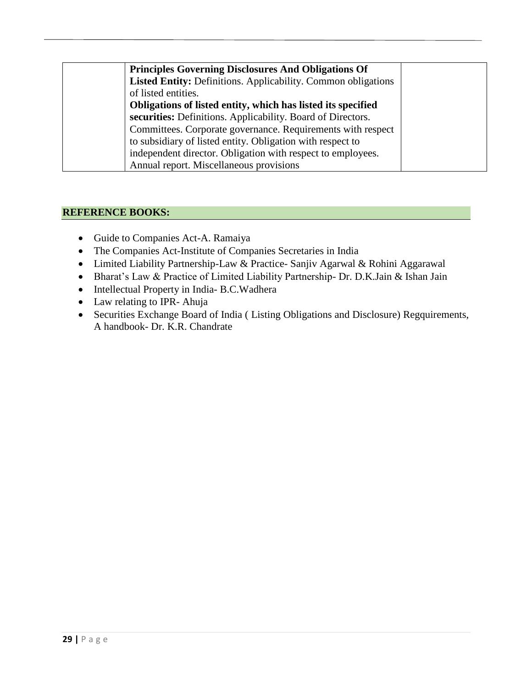| <b>Principles Governing Disclosures And Obligations Of</b>           |  |
|----------------------------------------------------------------------|--|
| <b>Listed Entity: Definitions. Applicability. Common obligations</b> |  |
| of listed entities.                                                  |  |
| Obligations of listed entity, which has listed its specified         |  |
| securities: Definitions. Applicability. Board of Directors.          |  |
| Committees. Corporate governance. Requirements with respect          |  |
| to subsidiary of listed entity. Obligation with respect to           |  |
| independent director. Obligation with respect to employees.          |  |
| Annual report. Miscellaneous provisions                              |  |

- Guide to Companies Act-A. Ramaiya
- The Companies Act-Institute of Companies Secretaries in India
- Limited Liability Partnership-Law & Practice- Sanjiv Agarwal & Rohini Aggarawal
- Bharat's Law & Practice of Limited Liability Partnership- Dr. D.K.Jain & Ishan Jain
- Intellectual Property in India- B.C.Wadhera
- Law relating to IPR- Ahuja
- Securities Exchange Board of India ( Listing Obligations and Disclosure) Regquirements, A handbook- Dr. K.R. Chandrate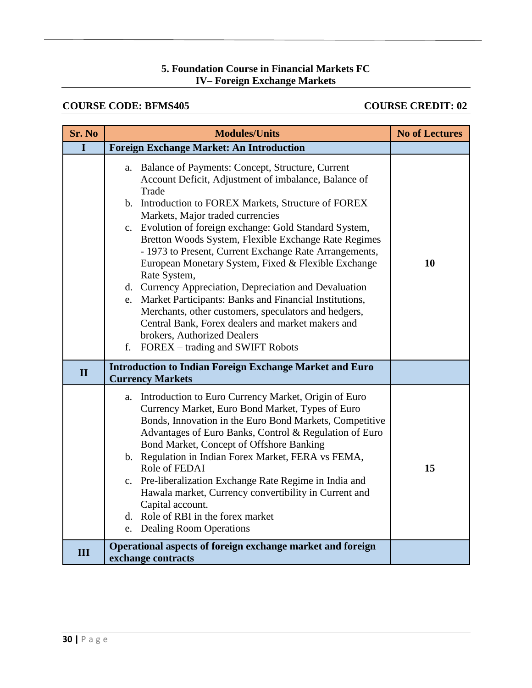### **5. Foundation Course in Financial Markets FC IV– Foreign Exchange Markets**

### **COURSE CODE: BFMS405 COURSE CREDIT: 02**

| <b>Sr. No</b> | <b>Modules/Units</b>                                                                                                                                                                                                                                                                                                                                                                                                                                                                                                                                                                                                                                                                                                                                                              | <b>No of Lectures</b> |
|---------------|-----------------------------------------------------------------------------------------------------------------------------------------------------------------------------------------------------------------------------------------------------------------------------------------------------------------------------------------------------------------------------------------------------------------------------------------------------------------------------------------------------------------------------------------------------------------------------------------------------------------------------------------------------------------------------------------------------------------------------------------------------------------------------------|-----------------------|
| I             | <b>Foreign Exchange Market: An Introduction</b>                                                                                                                                                                                                                                                                                                                                                                                                                                                                                                                                                                                                                                                                                                                                   |                       |
|               | a. Balance of Payments: Concept, Structure, Current<br>Account Deficit, Adjustment of imbalance, Balance of<br>Trade<br>b. Introduction to FOREX Markets, Structure of FOREX<br>Markets, Major traded currencies<br>c. Evolution of foreign exchange: Gold Standard System,<br>Bretton Woods System, Flexible Exchange Rate Regimes<br>- 1973 to Present, Current Exchange Rate Arrangements,<br>European Monetary System, Fixed & Flexible Exchange<br>Rate System,<br>d. Currency Appreciation, Depreciation and Devaluation<br>e. Market Participants: Banks and Financial Institutions,<br>Merchants, other customers, speculators and hedgers,<br>Central Bank, Forex dealers and market makers and<br>brokers, Authorized Dealers<br>FOREX – trading and SWIFT Robots<br>f. | 10                    |
| $\mathbf{I}$  | <b>Introduction to Indian Foreign Exchange Market and Euro</b><br><b>Currency Markets</b>                                                                                                                                                                                                                                                                                                                                                                                                                                                                                                                                                                                                                                                                                         |                       |
|               | a. Introduction to Euro Currency Market, Origin of Euro<br>Currency Market, Euro Bond Market, Types of Euro<br>Bonds, Innovation in the Euro Bond Markets, Competitive<br>Advantages of Euro Banks, Control & Regulation of Euro<br>Bond Market, Concept of Offshore Banking<br>b. Regulation in Indian Forex Market, FERA vs FEMA,<br>Role of FEDAI<br>c. Pre-liberalization Exchange Rate Regime in India and<br>Hawala market, Currency convertibility in Current and<br>Capital account.<br>d. Role of RBI in the forex market<br>e. Dealing Room Operations                                                                                                                                                                                                                  | 15                    |
| III           | Operational aspects of foreign exchange market and foreign<br>exchange contracts                                                                                                                                                                                                                                                                                                                                                                                                                                                                                                                                                                                                                                                                                                  |                       |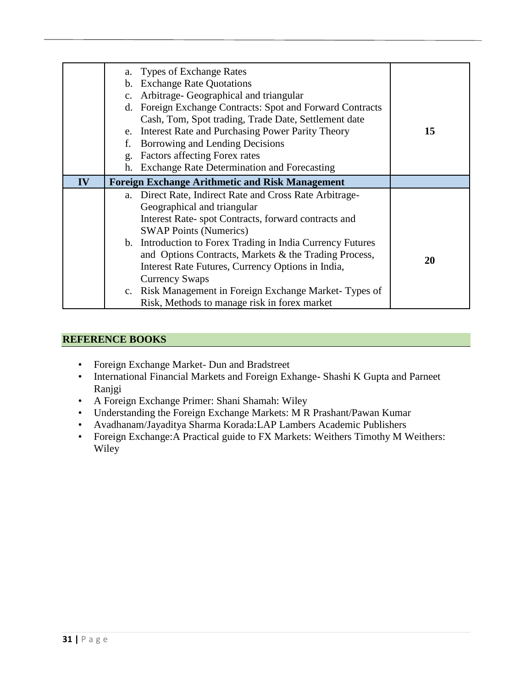|    |                | a. Types of Exchange Rates                                 |    |
|----|----------------|------------------------------------------------------------|----|
|    | $\mathbf{b}$ . | <b>Exchange Rate Quotations</b>                            |    |
|    | $C_{\bullet}$  | Arbitrage- Geographical and triangular                     |    |
|    |                | d. Foreign Exchange Contracts: Spot and Forward Contracts  |    |
|    |                | Cash, Tom, Spot trading, Trade Date, Settlement date       |    |
|    | e.             | Interest Rate and Purchasing Power Parity Theory           | 15 |
|    | f.             | Borrowing and Lending Decisions                            |    |
|    | g.             | Factors affecting Forex rates                              |    |
|    | h.             | <b>Exchange Rate Determination and Forecasting</b>         |    |
| IV |                | <b>Foreign Exchange Arithmetic and Risk Management</b>     |    |
|    |                | a. Direct Rate, Indirect Rate and Cross Rate Arbitrage-    |    |
|    |                | Geographical and triangular                                |    |
|    |                | Interest Rate-spot Contracts, forward contracts and        |    |
|    |                | <b>SWAP Points (Numerics)</b>                              |    |
|    |                | b. Introduction to Forex Trading in India Currency Futures |    |
|    |                | and Options Contracts, Markets & the Trading Process,      |    |
|    |                | Interest Rate Futures, Currency Options in India,          | 20 |
|    |                | <b>Currency Swaps</b>                                      |    |
|    |                | c. Risk Management in Foreign Exchange Market-Types of     |    |
|    |                | Risk, Methods to manage risk in forex market               |    |

- Foreign Exchange Market- Dun and Bradstreet
- International Financial Markets and Foreign Exhange- Shashi K Gupta and Parneet Ranjgi
- A Foreign Exchange Primer: Shani Shamah: Wiley
- Understanding the Foreign Exchange Markets: M R Prashant/Pawan Kumar
- Avadhanam/Jayaditya Sharma Korada:LAP Lambers Academic Publishers
- Foreign Exchange:A Practical guide to FX Markets: Weithers Timothy M Weithers: Wiley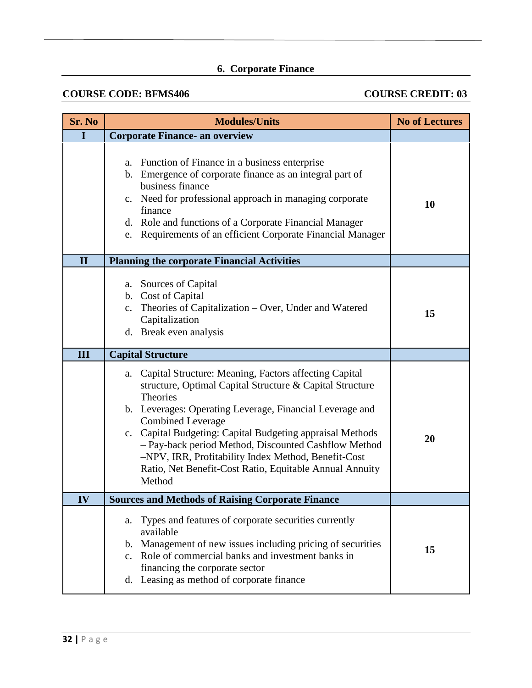# **6. Corporate Finance**

## **COURSE CODE: BFMS406 COURSE CREDIT: 03**

| Sr. No       | <b>Modules/Units</b>                                                                                                                                                                                                                                                                                                                                                                                                                                                                | <b>No of Lectures</b> |
|--------------|-------------------------------------------------------------------------------------------------------------------------------------------------------------------------------------------------------------------------------------------------------------------------------------------------------------------------------------------------------------------------------------------------------------------------------------------------------------------------------------|-----------------------|
| I            | <b>Corporate Finance- an overview</b>                                                                                                                                                                                                                                                                                                                                                                                                                                               |                       |
|              | Function of Finance in a business enterprise<br>a.<br>Emergence of corporate finance as an integral part of<br>$\mathbf{b}$ .<br>business finance<br>c. Need for professional approach in managing corporate<br>finance<br>d. Role and functions of a Corporate Financial Manager<br>e. Requirements of an efficient Corporate Financial Manager                                                                                                                                    | 10                    |
| $\mathbf{I}$ | <b>Planning the corporate Financial Activities</b>                                                                                                                                                                                                                                                                                                                                                                                                                                  |                       |
|              | a. Sources of Capital<br>b. Cost of Capital<br>Theories of Capitalization - Over, Under and Watered<br>c.<br>Capitalization<br>d. Break even analysis                                                                                                                                                                                                                                                                                                                               | 15                    |
| III          | <b>Capital Structure</b>                                                                                                                                                                                                                                                                                                                                                                                                                                                            |                       |
|              | Capital Structure: Meaning, Factors affecting Capital<br>a.<br>structure, Optimal Capital Structure & Capital Structure<br><b>Theories</b><br>b. Leverages: Operating Leverage, Financial Leverage and<br><b>Combined Leverage</b><br>c. Capital Budgeting: Capital Budgeting appraisal Methods<br>- Pay-back period Method, Discounted Cashflow Method<br>-NPV, IRR, Profitability Index Method, Benefit-Cost<br>Ratio, Net Benefit-Cost Ratio, Equitable Annual Annuity<br>Method | 20                    |
| IV           | <b>Sources and Methods of Raising Corporate Finance</b>                                                                                                                                                                                                                                                                                                                                                                                                                             |                       |
|              | Types and features of corporate securities currently<br>a.<br>available<br>Management of new issues including pricing of securities<br>b.<br>Role of commercial banks and investment banks in<br>$\mathbf{c}$ .<br>financing the corporate sector<br>d. Leasing as method of corporate finance                                                                                                                                                                                      | 15                    |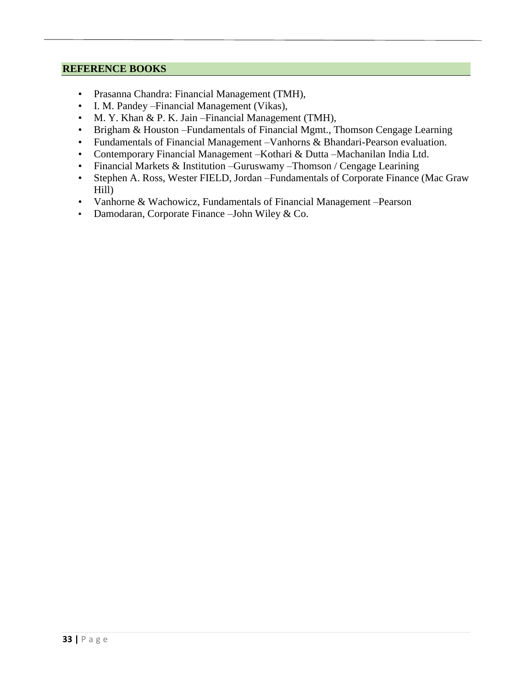- Prasanna Chandra: Financial Management (TMH),
- I. M. Pandey –Financial Management (Vikas),
- M. Y. Khan & P. K. Jain Financial Management (TMH),
- Brigham & Houston –Fundamentals of Financial Mgmt., Thomson Cengage Learning
- Fundamentals of Financial Management –Vanhorns & Bhandari-Pearson evaluation.
- Contemporary Financial Management –Kothari & Dutta –Machanilan India Ltd.
- Financial Markets & Institution –Guruswamy –Thomson / Cengage Learining
- Stephen A. Ross, Wester FIELD, Jordan –Fundamentals of Corporate Finance (Mac Graw Hill)
- Vanhorne & Wachowicz, Fundamentals of Financial Management –Pearson
- Damodaran, Corporate Finance –John Wiley & Co.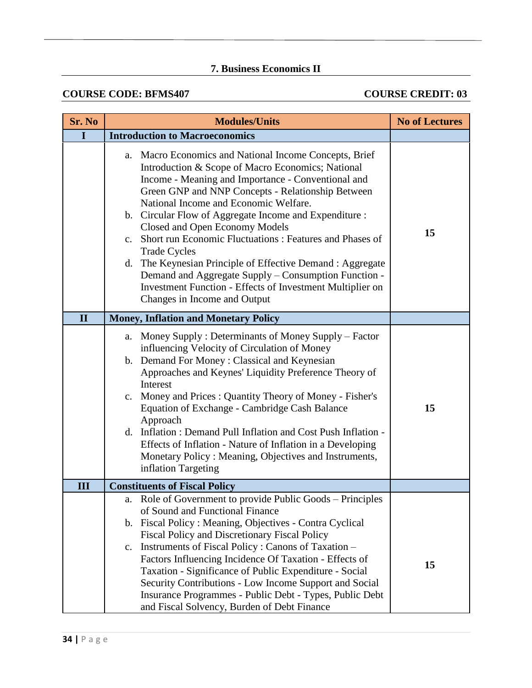## **7. Business Economics II**

## **COURSE CODE: BFMS407** COURSE CREDIT: 03

| Sr. No       | <b>Modules/Units</b>                                                                                                                                                                                                                                                                                                                                                                                                                                                                                                                                                                                                                                                    | <b>No of Lectures</b> |
|--------------|-------------------------------------------------------------------------------------------------------------------------------------------------------------------------------------------------------------------------------------------------------------------------------------------------------------------------------------------------------------------------------------------------------------------------------------------------------------------------------------------------------------------------------------------------------------------------------------------------------------------------------------------------------------------------|-----------------------|
| I            | <b>Introduction to Macroeconomics</b>                                                                                                                                                                                                                                                                                                                                                                                                                                                                                                                                                                                                                                   |                       |
|              | a. Macro Economics and National Income Concepts, Brief<br>Introduction & Scope of Macro Economics; National<br>Income - Meaning and Importance - Conventional and<br>Green GNP and NNP Concepts - Relationship Between<br>National Income and Economic Welfare.<br>b. Circular Flow of Aggregate Income and Expenditure :<br>Closed and Open Economy Models<br>c. Short run Economic Fluctuations : Features and Phases of<br><b>Trade Cycles</b><br>The Keynesian Principle of Effective Demand : Aggregate<br>d.<br>Demand and Aggregate Supply – Consumption Function -<br>Investment Function - Effects of Investment Multiplier on<br>Changes in Income and Output | 15                    |
| $\mathbf{I}$ | <b>Money, Inflation and Monetary Policy</b>                                                                                                                                                                                                                                                                                                                                                                                                                                                                                                                                                                                                                             |                       |
|              | Money Supply: Determinants of Money Supply – Factor<br>a.<br>influencing Velocity of Circulation of Money<br>b. Demand For Money: Classical and Keynesian<br>Approaches and Keynes' Liquidity Preference Theory of<br>Interest<br>c. Money and Prices: Quantity Theory of Money - Fisher's<br>Equation of Exchange - Cambridge Cash Balance<br>Approach<br>d. Inflation: Demand Pull Inflation and Cost Push Inflation -<br>Effects of Inflation - Nature of Inflation in a Developing<br>Monetary Policy: Meaning, Objectives and Instruments,<br>inflation Targeting                                                                                                  | 15                    |
| III          | <b>Constituents of Fiscal Policy</b>                                                                                                                                                                                                                                                                                                                                                                                                                                                                                                                                                                                                                                    |                       |
|              | Role of Government to provide Public Goods – Principles<br>a.<br>of Sound and Functional Finance<br>b. Fiscal Policy: Meaning, Objectives - Contra Cyclical<br>Fiscal Policy and Discretionary Fiscal Policy<br>c. Instruments of Fiscal Policy: Canons of Taxation –<br>Factors Influencing Incidence Of Taxation - Effects of<br>Taxation - Significance of Public Expenditure - Social<br>Security Contributions - Low Income Support and Social<br>Insurance Programmes - Public Debt - Types, Public Debt<br>and Fiscal Solvency, Burden of Debt Finance                                                                                                           | 15                    |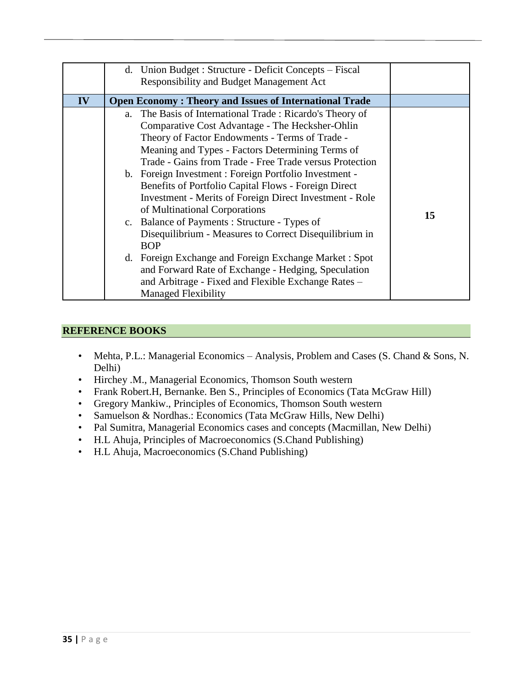|    | d. Union Budget: Structure - Deficit Concepts – Fiscal<br>Responsibility and Budget Management Act                                                                                                                                                                                                                                                                                                                                                                                                                                                                                                                                      |                                                                                                                                                                                     |    |
|----|-----------------------------------------------------------------------------------------------------------------------------------------------------------------------------------------------------------------------------------------------------------------------------------------------------------------------------------------------------------------------------------------------------------------------------------------------------------------------------------------------------------------------------------------------------------------------------------------------------------------------------------------|-------------------------------------------------------------------------------------------------------------------------------------------------------------------------------------|----|
| IV | <b>Open Economy: Theory and Issues of International Trade</b>                                                                                                                                                                                                                                                                                                                                                                                                                                                                                                                                                                           |                                                                                                                                                                                     |    |
|    | a. The Basis of International Trade: Ricardo's Theory of<br>Comparative Cost Advantage - The Hecksher-Ohlin<br>Theory of Factor Endowments - Terms of Trade -<br>Meaning and Types - Factors Determining Terms of<br>b. Foreign Investment : Foreign Portfolio Investment -<br>Benefits of Portfolio Capital Flows - Foreign Direct<br>of Multinational Corporations<br>c. Balance of Payments: Structure - Types of<br><b>BOP</b><br>d. Foreign Exchange and Foreign Exchange Market: Spot<br>and Forward Rate of Exchange - Hedging, Speculation<br>and Arbitrage - Fixed and Flexible Exchange Rates -<br><b>Managed Flexibility</b> | Trade - Gains from Trade - Free Trade versus Protection<br><b>Investment - Merits of Foreign Direct Investment - Role</b><br>Disequilibrium - Measures to Correct Disequilibrium in | 15 |

- Mehta, P.L.: Managerial Economics Analysis, Problem and Cases (S. Chand & Sons, N. Delhi)
- Hirchey .M., Managerial Economics, Thomson South western
- Frank Robert.H, Bernanke. Ben S., Principles of Economics (Tata McGraw Hill)
- Gregory Mankiw., Principles of Economics, Thomson South western
- Samuelson & Nordhas.: Economics (Tata McGraw Hills, New Delhi)
- Pal Sumitra, Managerial Economics cases and concepts (Macmillan, New Delhi)
- H.L Ahuja, Principles of Macroeconomics (S.Chand Publishing)
- H.L Ahuja, Macroeconomics (S.Chand Publishing)